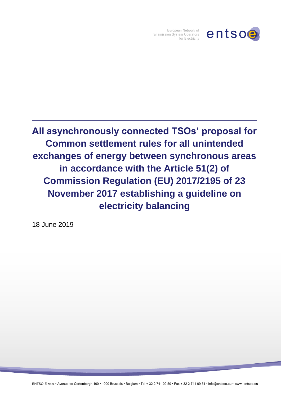

European Network of Transmission System Operators for Electricity

**All asynchronously connected TSOs' proposal for Common settlement rules for all unintended exchanges of energy between synchronous areas in accordance with the Article 51(2) of Commission Regulation (EU) 2017/2195 of 23 November 2017 establishing a guideline on electricity balancing**

18 June 2019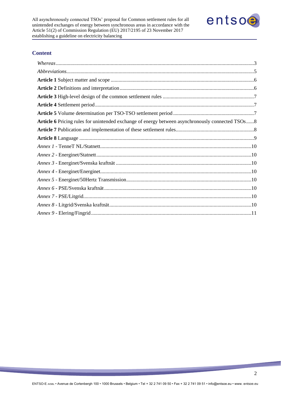

# **Content**

| Article 6 Pricing rules for unintended exchange of energy between asynchronously connected TSOs8 |  |
|--------------------------------------------------------------------------------------------------|--|
|                                                                                                  |  |
|                                                                                                  |  |
|                                                                                                  |  |
|                                                                                                  |  |
|                                                                                                  |  |
|                                                                                                  |  |
|                                                                                                  |  |
|                                                                                                  |  |
|                                                                                                  |  |
|                                                                                                  |  |
|                                                                                                  |  |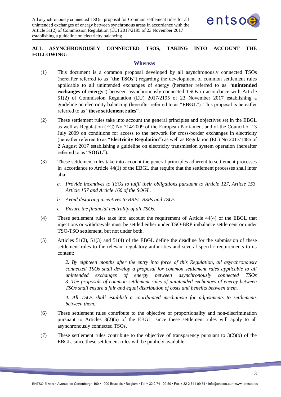

# **ALL ASYNCHRONOUSLY CONNECTED TSOS, TAKING INTO ACCOUNT THE FOLLOWING:**

#### **Whereas**

- <span id="page-2-0"></span>(1) This document is a common proposal developed by all asynchronously connected TSOs (hereafter referred to as "**the TSOs**") regarding the development of common settlement rules applicable to all unintended exchanges of energy (hereafter referred to as "**unintended exchanges of energy**") between asynchronously connected TSOs in accordance with Article 51(2) of Commission Regulation (EU) 2017/2195 of 23 November 2017 establishing a guideline on electricity balancing (hereafter referred to as "**EBGL**"). This proposal is hereafter referred to as "**these settlement rules**".
- (2) These settlement rules take into account the general principles and objectives set in the EBGL as well as Regulation (EC) No 714/2009 of the European Parliament and of the Council of 13 July 2009 on conditions for access to the network for cross-border exchanges in electricity (hereafter referred to as "**Electricity Regulation**") as well as Regulation (EC) No 2017/1485 of 2 August 2017 establishing a guideline on electricity transmission system operation (hereafter referred to as "**SOGL**").
- (3) These settlement rules take into account the general principles adherent to settlement processes in accordance to Article 44(1) of the EBGL that require that the settlement processes shall inter alia:
	- *a. Provide incentives to TSOs to fulfil their obligations pursuant to Article 127, Article 153, Article 157 and Article 160 of the SOGL.*
	- *b. Avoid distorting incentives to BRPs, BSPs and TSOs.*
	- *c. Ensure the financial neutrality of all TSOs.*
- (4) These settlement rules take into account the requirement of Article 44(4) of the EBGL that injections or withdrawals must be settled either under TSO-BRP imbalance settlement or under TSO-TSO settlement, but not under both.
- (5) Articles 51(2), 51(3) and 51(4) of the EBGL define the deadline for the submission of these settlement rules to the relevant regulatory authorities and several specific requirements to its content:

*2. By eighteen months after the entry into force of this Regulation, all asynchronously connected TSOs shall develop a proposal for common settlement rules applicable to all unintended exchanges of energy between asynchronously connected TSOs 3. The proposals of common settlement rules of unintended exchanges of energy between TSOs shall ensure a fair and equal distribution of costs and benefits between them.*

*4. All TSOs shall establish a coordinated mechanism for adjustments to settlements between them.*

- (6) These settlement rules contribute to the objective of proportionality and non-discrimination pursuant to Articles 3(2)(a) of the EBGL, since these settlement rules will apply to all asynchronously connected TSOs.
- (7) These settlement rules contribute to the objective of transparency pursuant to 3(2)(b) of the EBGL, since these settlement rules will be publicly available.

3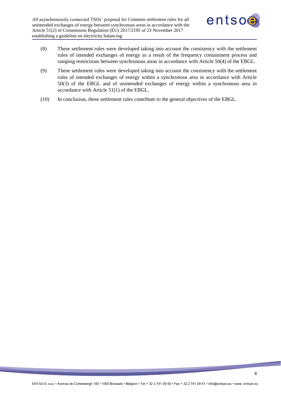

- (8) These settlement rules were developed taking into account the consistency with the settlement rules of intended exchanges of energy as a result of the frequency containment process and ramping restrictions between synchronous areas in accordance with Article 50(4) of the EBGL.
- (9) These settlement rules were developed taking into account the consistency with the settlement rules of intended exchanges of energy within a synchronous area in accordance with Article 50(3) of the EBGL and of unintended exchanges of energy within a synchronous area in accordance with Article 51(1) of the EBGL.
- (10) In conclusion, these settlement rules contribute to the general objectives of the EBGL.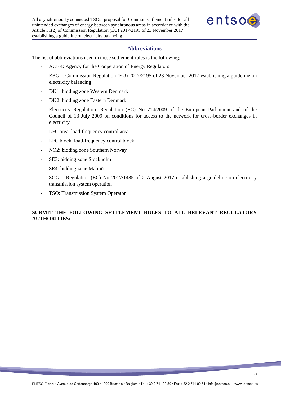

### **Abbreviations**

<span id="page-4-0"></span>The list of abbreviations used in these settlement rules is the following:

- ACER: Agency for the Cooperation of Energy Regulators
- EBGL: Commission Regulation (EU) 2017/2195 of 23 November 2017 establishing a guideline on electricity balancing
- DK1: bidding zone Western Denmark
- DK2: bidding zone Eastern Denmark
- Electricity Regulation: Regulation (EC) No 714/2009 of the European Parliament and of the Council of 13 July 2009 on conditions for access to the network for cross-border exchanges in electricity
- LFC area: load-frequency control area
- LFC block: load-frequency control block
- NO2: bidding zone Southern Norway
- SE3: bidding zone Stockholm
- SE4: bidding zone Malmö
- SOGL: Regulation (EC) No 2017/1485 of 2 August 2017 establishing a guideline on electricity transmission system operation
- TSO: Transmission System Operator

# **SUBMIT THE FOLLOWING SETTLEMENT RULES TO ALL RELEVANT REGULATORY AUTHORITIES:**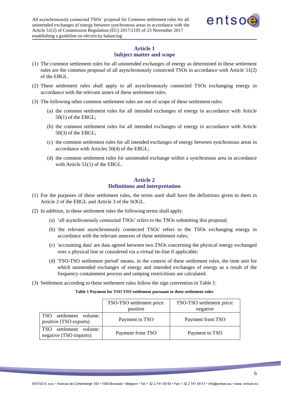

# **Article 1 Subject matter and scope**

- <span id="page-5-0"></span>(1) The common settlement rules for all unintended exchanges of energy as determined in these settlement rules are the common proposal of all asynchronously connected TSOs in accordance with Article 51(2) of the EBGL.
- (2) These settlement rules shall apply to all asynchronously connected TSOs exchanging energy in accordance with the relevant annex of these settlement rules.
- (3) The following other common settlement rules are out of scope of these settlement rules:
	- (a) the common settlement rules for all intended exchanges of energy in accordance with Article 50(1) of the EBGL;
	- (b) the common settlement rules for all intended exchanges of energy in accordance with Article 50(3) of the EBGL;
	- (c) the common settlement rules for all intended exchanges of energy between synchronous areas in accordance with Articles 50(4) of the EBGL;
	- (d) the common settlement rules for unintended exchange within a synchronous area in accordance with Article 51(1) of the EBGL.

# **Article 2 Definitions and interpretation**

- <span id="page-5-1"></span>(1) For the purposes of these settlement rules, the terms used shall have the definitions given to them in Article 2 of the EBGL and Article 3 of the SOGL.
- (2) In addition, in these settlement rules the following terms shall apply:
	- (a) 'all asynchronously connected TSOs' refers to the TSOs submitting this proposal;
	- (b) 'the relevant asynchronously connected TSOs' refers to the TSOs exchanging energy in accordance with the relevant annexes of these settlement rules;
	- (c) 'accounting data' are data agreed between two TSOs concerning the physical energy exchanged over a physical line or considered via a virtual tie-line if applicable;
	- (d) 'TSO-TSO settlement period' means, in the context of these settlement rules, the time unit for which unintended exchanges of energy and intended exchanges of energy as a result of the frequency containment process and ramping restricitions are calculated.
- (3) Settlement according to these settlement rules follow the sign convention in Table 1:

## **Table 1 Payment for TSO TSO settlement pursuant to these settlement rules**

|                                                     | TSO-TSO settlement price:<br>positive | TSO-TSO settlement price:<br>negative |
|-----------------------------------------------------|---------------------------------------|---------------------------------------|
| TSO<br>settlement volume:<br>positive (TSO exports) | Payment to TSO                        | Payment from TSO                      |
| TSO settlement volume:<br>negative (TSO imports)    | Payment from TSO                      | Payment to TSO                        |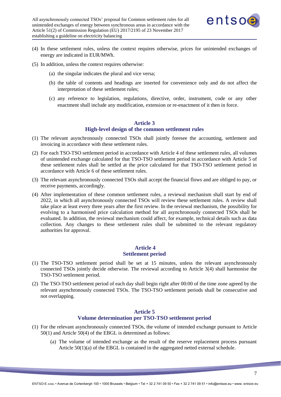

- (4) In these settlement rules, unless the context requires otherwise, prices for unintended exchanges of energy are indicated in EUR/MWh.
- (5) In addition, unless the context requires otherwise:
	- (a) the singular indicates the plural and vice versa;
	- (b) the table of contents and headings are inserted for convenience only and do not affect the interpretation of these settlement rules;
	- (c) any reference to legislation, regulations, directive, order, instrument, code or any other enactment shall include any modification, extension or re-enactment of it then in force.

# **Article 3 High-level design of the common settlement rules**

- <span id="page-6-0"></span>(1) The relevant asynchronously connected TSOs shall jointly foresee the accounting, settlement and invoicing in accordance with these settlement rules.
- (2) For each TSO-TSO settlement period in accordance with Article 4 of these settlement rules, all volumes of unintended exchange calculated for that TSO-TSO settlement period in accordance with Article 5 of these settlement rules shall be settled at the price calculated for that TSO-TSO settlement period in accordance with Article 6 of these settlement rules.
- (3) The relevant asynchronously connected TSOs shall accept the financial flows and are obliged to pay, or receive payments, accordingly.
- (4) After implementation of these common settlement rules, a reviewal mechanism shall start by end of 2022, in which all asynchronously connected TSOs will review these settlement rules. A review shall take place at least every three years after the first review. In the reviewal mechanism, the possibility for evolving to a harmonised price calculation method for all asynchronously connected TSOs shall be evaluated. In addition, the reviewal mechanism could affect, for example, technical details such as data collection. Any changes to these settlement rules shall be submitted to the relevant regulatory authorities for approval.

### <span id="page-6-1"></span>**Article 4 Settlement period**

- (1) The TSO-TSO settlement period shall be set at 15 minutes, unless the relevant asynchronously connected TSOs jointly decide otherwise. The reviewal according to Article 3(4) shall harmonise the TSO-TSO settlement period.
- (2) The TSO-TSO settlement period of each day shall begin right after 00:00 of the time zone agreed by the relevant asynchronously connected TSOs. The TSO-TSO settlement periods shall be consecutive and not overlapping.

### **Article 5 Volume determination per TSO-TSO settlement period**

- <span id="page-6-2"></span>(1) For the relevant asynchronously connected TSOs, the volume of intended exchange pursuant to Article 50(1) and Article 50(4) of the EBGL is determined as follows:
	- (a) The volume of intended exchange as the result of the reserve replacement process pursuant Article 50(1)(a) of the EBGL is contained in the aggregated netted external schedule.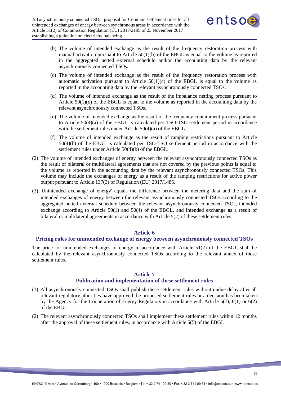

- (b) The volume of intended exchange as the result of the frequency restoration process with manual activation pursuant to Article  $50(1)(b)$  of the EBGL is equal to the volume as reported in the aggregated netted external schedule and/or the accounting data by the relevant asynchronously connected TSOs.
- (c) The volume of intended exchange as the result of the frequency restoration process with automatic activation pursuant to Article  $50(1)(c)$  of the EBGL is equal to the volume as reported in the accounting data by the relevant asynchronously connected TSOs.
- (d) The volume of intended exchange as the result of the imbalance netting process pursuant to Article  $50(1)(d)$  of the EBGL is equal to the volume as reported in the accounting data by the relevant asynchronously connected TSOs.
- (e) The volume of intended exchange as the result of the frequency containment process pursuant to Article 50(4)(a) of the EBGL is calculated per TSO-TSO settlement period in accordance with the settlement rules under Article 50(4)(a) of the EBGL.
- (f) The volume of intended exchange as the result of ramping restrictions pursuant to Article 50(4)(b) of the EBGL is calculated per TSO-TSO settlement period in accordance with the settlement rules under Article 50(4)(b) of the EBGL.
- (2) The volume of intended exchanges of energy between the relevant asynchronously connected TSOs as the result of bilateral or multilateral agreements that are not covered by the previous points is equal to the volume as reported in the accounting data by the relevant asynchronously connected TSOs. This volume may include the exchanges of energy as a result of the ramping restrictions for active power output pursuant to Article 137(3) of Regulation (EU) 2017/1485.
- (3) 'Unintended exchange of energy' equals the difference between the metering data and the sum of intended exchanges of energy between the relevant asynchronously connected TSOs according to the aggregated netted external schedule between the relevant asynchronously connected TSOs, intended exchange according to Article 50(1) and 50(4) of the EBGL, and intended exchange as a result of bilateral or multilateral agreements in accordance with Article 5(2) of these settlement rules.

### **Article 6**

## <span id="page-7-0"></span>**Pricing rules for unintended exchange of energy between asynchronously connected TSOs**

The price for unintended exchanges of energy in accordance with Article 51(2) of the EBGL shall be calculated by the relevant asynchronously connected TSOs according to the relevant annex of these settlement rules.

### **Article 7**

## **Publication and implementation of these settlement rules**

- <span id="page-7-1"></span>(1) All asynchronously connected TSOs shall publish these settlement rules without undue delay after all relevant regulatory athorities have approved the proposed settlement rules or a decision has been taken by the Agency for the Cooperation of Energy Regulators in accordance with Article 5(7), 6(1) or 6(2) of the EBGL
- (2) The relevant asynchronously connected TSOs shall implement these settlement rules within 12 months after the approval of these settlement rules, in accordance with Article 5(5) of the EBGL.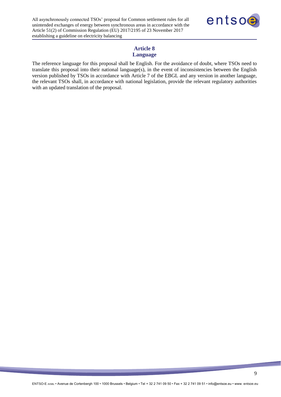

## **Article 8 Language**

<span id="page-8-0"></span>The reference language for this proposal shall be English. For the avoidance of doubt, where TSOs need to translate this proposal into their national language(s), in the event of inconsistencies between the English version published by TSOs in accordance with Article 7 of the EBGL and any version in another language, the relevant TSOs shall, in accordance with national legislation, provide the relevant regulatory authorities with an updated translation of the proposal.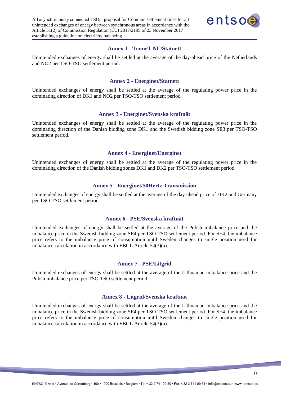

#### **Annex 1 - TenneT NL/Statnett**

<span id="page-9-0"></span>Unintended exchanges of energy shall be settled at the average of the day-ahead price of the Netherlands and NO2 per TSO-TSO settlement period.

#### **Annex 2 - Energinet/Statnett**

<span id="page-9-1"></span>Unintended exchanges of energy shall be settled at the average of the regulating power price in the dominating direction of DK1 and NO2 per TSO-TSO settlement period.

#### **Annex 3 - Energinet/Svenska kraftnät**

<span id="page-9-2"></span>Unintended exchanges of energy shall be settled at the average of the regulating power price in the dominating direction of the Danish bidding zone DK1 and the Swedish bidding zone SE3 per TSO-TSO settlement period.

## **Annex 4 - Energinet/Energinet**

<span id="page-9-3"></span>Unintended exchanges of energy shall be settled at the average of the regulating power price in the dominating direction of the Danish bidding zones DK1 and DK2 per TSO-TSO settlement period.

### **Annex 5 - Energinet/50Hertz Transmission**

<span id="page-9-4"></span>Unintended exchanges of energy shall be settled at the average of the day-ahead price of DK2 and Germany per TSO-TSO settlement period.

#### **Annex 6 - PSE/Svenska kraftnät**

<span id="page-9-5"></span>Unintended exchanges of energy shall be settled at the average of the Polish imbalance price and the imbalance price in the Swedish bidding zone SE4 per TSO-TSO settlement period. For SE4, the imbalance price refers to the imbalance price of consumption until Sweden changes to single position used for imbalance calculation in accordance with EBGL Article 54(3)(a).

### **Annex 7 - PSE/Litgrid**

<span id="page-9-6"></span>Unintended exchanges of energy shall be settled at the average of the Lithuanian imbalance price and the Polish imbalance price per TSO-TSO settlement period.

#### **Annex 8 - Litgrid/Svenska kraftnät**

<span id="page-9-7"></span>Unintended exchanges of energy shall be settled at the average of the Lithuanian imbalance price and the imbalance price in the Swedish bidding zone SE4 per TSO-TSO settlement period. For SE4, the imbalance price refers to the imbalance price of consumption until Sweden changes to single position used for imbalance calculation in accordance with EBGL Article 54(3)(a).